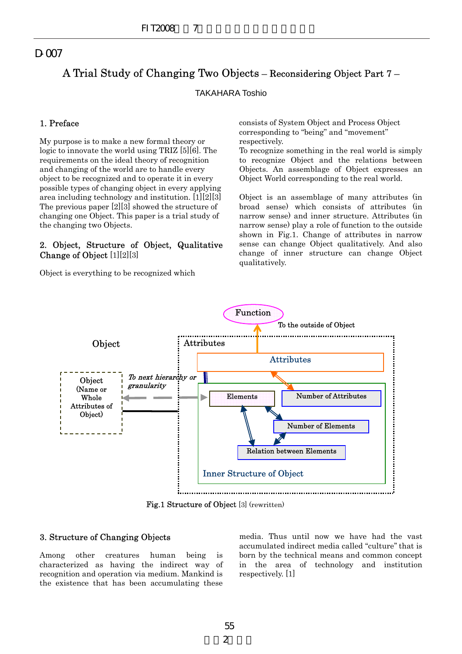# A Trial Study of Changing Two Objects – Reconsidering Object Part 7 –

# TAKAHARA Toshio

# 1. Preface

My purpose is to make a new formal theory or logic to innovate the world using TRIZ [5][6]. The requirements on the ideal theory of recognition and changing of the world are to handle every object to be recognized and to operate it in every possible types of changing object in every applying area including technology and institution. [1][2][3] The previous paper [2][3] showed the structure of changing one Object. This paper is a trial study of the changing two Objects.

# 2. Object, Structure of Object, Qualitative Change of Object [1][2][3]

Object is everything to be recognized which

consists of System Object and Process Object corresponding to "being" and "movement" respectively.

To recognize something in the real world is simply to recognize Object and the relations between Objects. An assemblage of Object expresses an Object World corresponding to the real world.

Object is an assemblage of many attributes (in broad sense) which consists of attributes (in narrow sense) and inner structure. Attributes (in narrow sense) play a role of function to the outside shown in Fig.1. Change of attributes in narrow sense can change Object qualitatively. And also change of inner structure can change Object qualitatively.



Fig.1 Structure of Object [3] (rewritten)

# 3. Structure of Changing Objects

Among other creatures human being is characterized as having the indirect way of recognition and operation via medium. Mankind is the existence that has been accumulating these

media. Thus until now we have had the vast accumulated indirect media called ''culture'' that is born by the technical means and common concept in the area of technology and institution respectively. [1]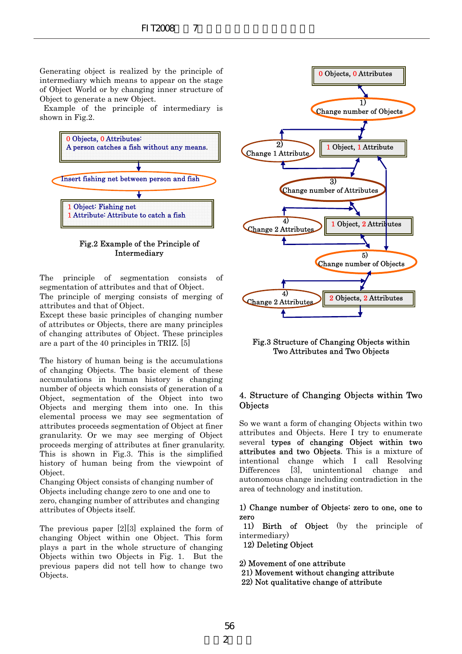Generating object is realized by the principle of intermediary which means to appear on the stage of Object World or by changing inner structure of Object to generate a new Object.

Example of the principle of intermediary is shown in Fig.2.



Fig.2 Example of the Principle of Intermediary

The principle of segmentation consists of segmentation of attributes and that of Object.

The principle of merging consists of merging of attributes and that of Object.

Except these basic principles of changing number of attributes or Objects, there are many principles of changing attributes of Object. These principles are a part of the 40 principles in TRIZ. [5]

The history of human being is the accumulations of changing Objects. The basic element of these accumulations in human history is changing number of objects which consists of generation of a Object, segmentation of the Object into two Objects and merging them into one. In this elemental process we may see segmentation of attributes proceeds segmentation of Object at finer granularity. Or we may see merging of Object proceeds merging of attributes at finer granularity. This is shown in Fig.3. This is the simplified history of human being from the viewpoint of Object.

Changing Object consists of changing number of Objects including change zero to one and one to zero, changing number of attributes and changing attributes of Objects itself.

The previous paper [2][3] explained the form of changing Object within one Object. This form plays a part in the whole structure of changing Objects within two Objects in Fig. 1. But the previous papers did not tell how to change two Objects.



Fig.3 Structure of Changing Objects within Two Attributes and Two Objects

# 4. Structure of Changing Objects within Two **Objects**

So we want a form of changing Objects within two attributes and Objects. Here I try to enumerate several types of changing Object within two attributes and two Objects. This is a mixture of intentional change which I call Resolving Differences [3], unintentional change and autonomous change including contradiction in the area of technology and institution.

### 1) Change number of Objects: zero to one, one to zero

11) Birth of Object (by the principle of intermediary)

12) Deleting Object

2) Movement of one attribute

- 21) Movement without changing attribute
- 22) Not qualitative change of attribute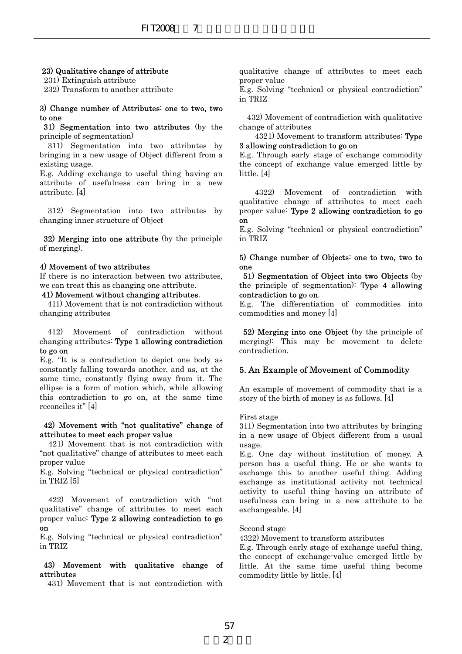#### 23) Qualitative change of attribute

231) Extinguish attribute

232) Transform to another attribute

#### 3) Change number of Attributes: one to two, two to one

31) Segmentation into two attributes (by the principle of segmentation)

 311) Segmentation into two attributes by bringing in a new usage of Object different from a existing usage.

E.g. Adding exchange to useful thing having an attribute of usefulness can bring in a new attribute. [4]

 312) Segmentation into two attributes by changing inner structure of Object

32) Merging into one attribute (by the principle of merging).

#### 4) Movement of two attributes

If there is no interaction between two attributes, we can treat this as changing one attribute.

# 41) Movement without changing attributes.

411) Movement that is not contradiction without changing attributes

412) Movement of contradiction without changing attributes: Type 1 allowing contradiction to go on

E.g. "It is a contradiction to depict one body as constantly falling towards another, and as, at the same time, constantly flying away from it. The ellipse is a form of motion which, while allowing this contradiction to go on, at the same time reconciles it" [4]

#### 42) Movement with "not qualitative" change of attributes to meet each proper value

 421) Movement that is not contradiction with "not qualitative" change of attributes to meet each proper value

E.g. Solving "technical or physical contradiction" in TRIZ [5]

 422) Movement of contradiction with "not qualitative" change of attributes to meet each proper value: Type 2 allowing contradiction to go on

E.g. Solving "technical or physical contradiction" in TRIZ

#### 43) Movement with qualitative change of attributes

431) Movement that is not contradiction with

qualitative change of attributes to meet each proper value

E.g. Solving "technical or physical contradiction" in TRIZ

432) Movement of contradiction with qualitative change of attributes

4321) Movement to transform attributes: Type 3 allowing contradiction to go on

E.g. Through early stage of exchange commodity the concept of exchange value emerged little by little. [4]

4322) Movement of contradiction with qualitative change of attributes to meet each proper value: Type 2 allowing contradiction to go on

E.g. Solving "technical or physical contradiction" in TRIZ

#### 5) Change number of Objects: one to two, two to one

51) Segmentation of Object into two Objects (by the principle of segmentation): Type 4 allowing contradiction to go on.

E.g. The differentiation of commodities into commodities and money [4]

52) Merging into one Object (by the principle of merging): This may be movement to delete contradiction.

#### 5. An Example of Movement of Commodity

An example of movement of commodity that is a story of the birth of money is as follows. [4]

#### First stage

311) Segmentation into two attributes by bringing in a new usage of Object different from a usual usage.

E.g. One day without institution of money. A person has a useful thing. He or she wants to exchange this to another useful thing. Adding exchange as institutional activity not technical activity to useful thing having an attribute of usefulness can bring in a new attribute to be exchangeable. [4] FIT2008 7<br> **Example 12008** 7<br> **Example 12008** 1700 proper value of the strictivite<br>
buttes: one to two, two<br>
in TRIZ<br>
buttes:  $\frac{1321}{4221}$  Movement of case<br>
two attributes by the change of attributes<br>  $\frac{1321}{4221}$  M

Second stage

4322) Movement to transform attributes

E.g. Through early stage of exchange useful thing, the concept of exchange-value emerged little by little. At the same time useful thing become commodity little by little. [4]